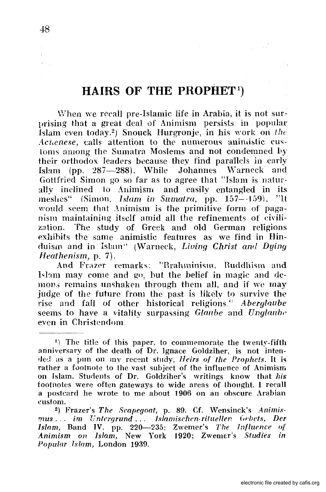# $HAIRS$  OF THE PROPHET<sup>1</sup>)

When we recall pre-Islamic life in Arabia, it is not surprising that a great deal of Animism persists in popular Islam even today.2) Snouck Hurgronje, in his work on *the Achenese, calls attention to the numerous animistic cus*loms among the Sumatra Moslems and not condemned by their orthodox leaders because they find parallels in early Ishm (pp. 287-288). While Johannes Warneck and Gottfried Simon go so far as to agree that "Islam is naturally inclined to Auimism and easily entangled in its meshes" (Simon. *Islam in Sumatra*, pp. 157--159). "It would seem that Animism is the primitive form of paganism maintaining itself amid all the refinements of civilization. The study of Greek and old German religions exhibits the same animistic features as we find in  $\overline{\text{H}}$  induism and in Islam" (Warneck, *Living Christ and Dying Heathenism,* p. 7).

And Frazer remarks: "Brahminism, Buddhism and Islam may come and go, but the belief in magic and demon, remains unshaken through them all, and if we may judge of the future from the past is likely to survive the rise and fall of other historical religions.<sup>4</sup> *Aberglaube* seems to have a vitality surpassing  $Glaube$  and  $Unglaube$ even in Christendom.

 $1)$  The title of this paper, to commemorate the twenty-fifth anniversary of the death of Dr. Ignace Goldziher, is not inten- ,Jed as a pun on mv recent stndy, *Heirs of the Prophets.* It is rather a footnote to the vast subject of the influence of Animism on Islam. Sturlents of Dr. Goldziher's writings know that *bis*  footnotes were often gateways to wide areas of thought. 1 recall a postcard he wrote to me about 1906 on an obscure Arabian <:ustonl.

<sup>&</sup>lt;sup>2</sup>) Frazer's The Scapegoat, p. 89. Cf. Wensinck's Animismus ... im Untergrund... Islamischen-ritueller. Gebets, Der *Islam, Band IV. pp. 220-235: Zwemer's The Influence of Animism on Islam, New York 1920; Zwemer's Studies in Popular Islam,* London 1939.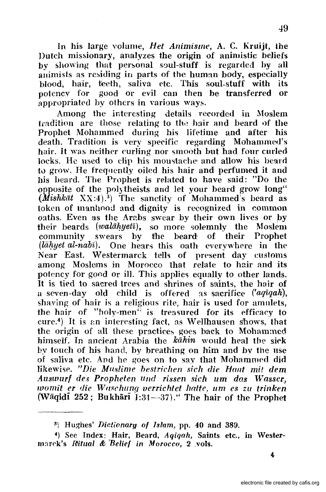In his large volume, *Het Animisme*, A. C. Kruijt, the Dutch missionary, analyzes the origin of animistic beliefs by showing that personal soul-stuff is regarded by all animists as residing in parts of the human body, especially blood, hair, teeth, saliva etc. This soul-stuff with its potency for good or evil can then be transferred or appropriated by others in various ways.

Among the interesting details recorded in Moslem tradition are those relating to the hair and beard of the Prophet Mohammed during his lifetime and after his death. Tradition is very specific regarding Mohammed's hair. It was neither curling nor smooth but had four curled locks. He used to clip his moustache' and allow his heard to grow. He frequently oiled his hair and perfumed it and his beard. The Prophet is related to have said: "Do the opposite of the polytheists and let your beard grow long"  $(Mishk\bar{a}t$   $XX:4)$ .<sup>3</sup>) The sanctity of Mohammed's beard as token of manhood and dignity is recognized in common oaths. Even as the Arabs swear by their own lives or by their beards (walahyeta), so more solemnly the Moslem community swears hy tlhe beard of their Prophet  $(i\bar{a}hyet\ al-nab\bar{\imath})$ . One hears this oath everywhere in the Near East. Westermarck tells of present day customs among Moslems in Morocco that relate to hair and its potency for good or ill. This applies equally to other lands. It is tied to sacred trees and shrines of saints, the hair of a seven-day old child is offered as sacrifice ('aqiqah), shaving of hair is a religious rite, hair is used for amulets, the hair of "holy-men" is treasured for its efficacy to cure.<sup>4</sup>) It is an interesting fact, as Wellhausen shows, that the origin of all these practices goes back to Moham:ned himself. In ancient Arabia the  $k\ddot{a}h\dot{n}$  would heal the sick by touch of his hand, by breathing on him and bv the use of saliva etc. And he goes on to say that Mohammed did likewise. "Die Muslime bestrichen sich die Haut mit dem *Auswurf des Propheten und rissen sich um das Wasser. womit er die Waschung verrichtet hatte, um es zu trinken* (Wāqidi 252; Bukhārī  $\tilde{J}:31-37$ )." The hair of the Prophet

<sup>3)</sup> Hughes' *Dictionary. of Islam,* pp. 40 and 389.

<sup>4)</sup> See Index: Hair, Beard, *Aqiqah,* Saints etc., in Westermarck's Ritual & Belief in Morocco, 2 vols.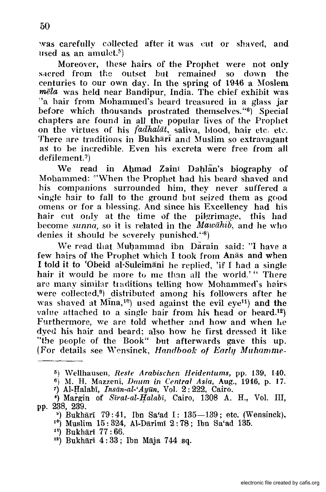was carefully collected after it was cut or shaved, and used as an amulet.<sup>5</sup>)

Moreover, these hairs of the Prophet were not only sacred from the outset but remained so down the centuries to our own day. In the spring of  $1946$  a Moslem *mela* was held near Bandipur, India. The chief exhibit was "a hair from Mohammed's beard treasnred in a glass jar before which thousands prostrated themselves. "6) Special chapters are found in all the popular lives of the Prophet on the virtues of his *fadhalat*, saliva, blood, hair etc. etc. There are traditions in Bukhari and Muslim so extravagant as to be incredible, Even his excreta were free, from all defilement. $\bar{r}$ )

We read in Ahmad Zain<sup>1</sup> Dahlan's biography of Mohammed: '''When the Prophet had his beard shaved and his companions surrounded him, they never suffered a single hair to fall to the ground but seized them as good omens or for a hlessing. And since his Excellency had his hair cut only at the time of the pilgrimage, this had become *sunna,* so it is related in the *'Mawahib,* and he who denies it shonld he severely punished. "8)

We read that Muhammad ibn Darain said: "I have a few hairs of the Prophet which I took from Anas and when I told it to 'Obeid al-Suleimani he replied, 'if I had a single hair it would be more to me than all the world.'" There are many similar traditions telling how Mohammed's hairs were collected,9) distributed among his followers after he was shaved at  $Mina<sub>1</sub>^{10}$  used against the evil eye<sup>11</sup>) and the value attached to a single hair from his head or heard.<sup>12</sup>) Furthermore, we are told whether and how and when he dyed. his hair and beard; also how he first dressed it like "the people of the Book" but afterwards gave this up. (For details see Wensinck, Handbook of Early Muhamme-

- 11) BukharI 77: 66.
- $13$ ) Bukhārī  $4:33$ ; Ibn Māja 744 sq.

<sup>5)</sup> Wellhausen, *Restc Arabischen lieidentums,* pp. 139, 140.

<sup>6)</sup> M. H. Mazzeni. *Daum* in *Central Asia,* Aug., 19:1,6, p. 17.

<sup>7)</sup> AHlalabI, *Instin-al-'Ayun,* Vol. 2: 222, Cairo.

 $\binom{1308}{1100}$  of *Sirat-al-Halabi*, Cairo, 1308 A. H., Vol. III, pp. 238, 239.

 $'$ ) Bukhārī 79:41, Ibn Sa'ad I: 135-139; etc. (Wensinck).

 $10)$  Muslim 15: 324, Al-Darimi 2:78; Ibn Sa'ad 135.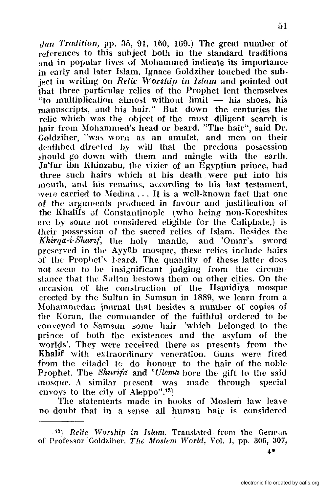*dan Tradition,* pp. 35, 91, 160, 169.) The great number of references to this subject both in the standard traditions and in popular lives of Mohammed indicate its importance in early and later Islam. Ignace Goldziher touched the sub. ject in writing on *Relic Worship in Islam* and pointed out that three particular relics of the Prophet lent themselves  $"$ to multiplication almost without limit  $-$  his shoes, his manuscripts, and his hair." But down the centuries the relic which was the object of the most diligent search is hair from Mohammed's head or beard. "The hair", said Dr. Goldziher, "was worn as an amulet, and men on their deathbed directed by will that the precious possession ~houJd go down with them and mingle with the earth. Ja'far ibn Khinzabu, the vizier of an Egyptian prince, had three such hairs which at his death were put into his mouth, and his remains, according to his last testament, were carried to Medina  $\dots$  It is a well-known fact that one of the arguments produced in favour and justification of the Khallfs uf Constantinople (who heing non-Koreshites are by some not considered eligible for the Caliphate,) is their possession of the sacred relics of Islam. Besides the *Khirqa-i-Sharif,* the holy mantle, and 'Omar's sword preserved in the Ayyūb mosque, these relics include hairs of the Prophet's beard. The quantity of these latter does not seem to he insignificant judging from the circumstance that the Sultan bestows them on other cities. On the occasion of the construction of the Hamidiya mosque erected by the Sultan in Samsun in 1889, we learn from a Mohammedan journal that besides a number of copies of the Koran, the commander of the faithful ordered to be conveyed to Samsun some hair 'which belonged to the prince of both the existences and the asylum of the worlds'. They were received there as presents from the Khalif with extraordinary veneration. Guns were fired from the citadel to do honour to the hair of the noble Prophet. The *Shurifa* and *'Ulema* hore the gift to the said mosque. A similar present was made through special envoys to the city of A1eppo".13)

The statements made in books of Moslem law leave no doubt that in a sense all human hair is considered

4\*

51

<sup>&</sup>lt;sup>13</sup>) *Relic Worship in Islam.* Translated from the German of Professor Goldziher. *The Moslem World*, Vol. I, pp. 306, 307,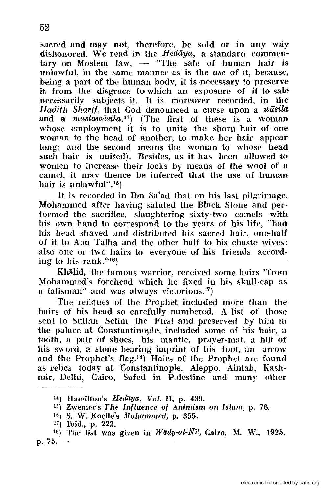sacred and may not, therefore, be sold or in anv wav dishonored. We read in the *Hedaya*, a standard commen $t$ ary on Moslem law,  $-$  "The sale of human hair is unlawful, in the same manner as is the *use* of it, because, being a part of the human body, it is necessary to preserve it from the disgrace to which an exposure of it to sale necessarily subjects it. It is moreover recorded, in the Hadith Sharif, that God denounced a curse upon a *wasila*  and a *mustawasila*.<sup>14</sup>) (The first of these is a woman whose employment it is to unite the shorn hair of one woman to the head of another, to make her hair appear long; and the second means the woman to whose head such hair is united). Besides, as it has been allowed to women to increase their locks by means of the wool of a camel, it may thence be inferred that the use of human hair is unlawful".<sup>15</sup>)

It is recorded in Jbn Sa'ad that on his last pilgrimage, Mohammed after having saluted the Black Stone and performed the sacrifice, slaughtering sixty-two camels with his own hand to correspond to the years of his life, "had his head shaved and distributed his sacred hair, one-half of it to Abu Talha and the other half to his chaste wives; also one or two hairs to everyone of his friends according to his rank. "16)

Khalid, the famous warrior, received some hairs "from Mohammed's forehead which he fixed in his skull-cap as a talisman" and was always victorious.<sup>17</sup>)

The reliques of the Prophet included more than the hairs of his head so carefully numbered. A list of those sent to Sultan Selim the First and preserved by him in the palace at Constantinople, included some of his hair, a tooth, a pair of shoes, his mantle, prayer-mat, a hilt of his sword, a stone bearing imprint of his foot, an arrow and the Prophet's flag.18) Hairs of the Prophet are found as relics today at Constantinople, Aleppo, Aintab, Kashmir, Delhi, Cairo, Safed in Palestine and many other

 $14$ ) Hamilton's *Hedaya, Vol. II, p. 439.* 

 $15)$  Zwemer's The Influence of Animism on Islam, p. 76.

<sup>16)</sup> s. W. Koelle'§ Mohammed, p. 355.

<sup>17)</sup> Ibid., p. 222.

<sup>&</sup>lt;sup>18</sup>) The list was given in *Wady-al-Nil*, Cairo, M. W., 1925, p.75.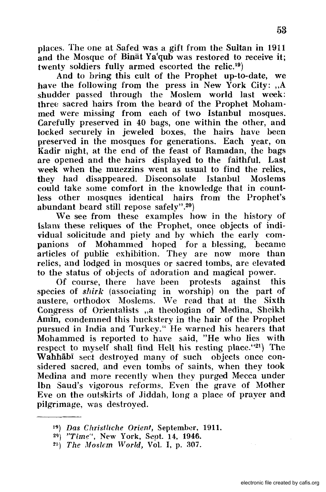places. The one at Safed was a gift from the Sultan in 1911 and the Mosque of Binat Ya'qub was restored to receive it; twenty soldiers fully armed escorted the relic.19)

And to bring: this cult of the Prophet up-to-date, we have the following from the press in New York City:  $A$ shudder passed through the Moslem world last week: three sacred hairs from the beard! of the Prophet Mohammed were missing from each of two Istanbul mosques. Carefully preserved in 40 bags, one within the other, and locked securely in jeweled boxes, the hairs have been preserved in the mosques for generations. Each year, on Kadir night, at the end of the feast of Ramadan, the bags are opened and the hairs displayed to the faithful. Last week when the muezzins went as usual to find the relics, they had disappeared. Disconsolate Istanbul Moslems could take some comfort in the knowledge that in countless other mosques identical hairs from the Prophet's abundant beard still repose safely".20)

We see from these examples how in the history of Islam these reliques of the Prophet, once objects of individual solicitude and piety and by which the early companions of Mohammed hoped for a blessing, became articles of public exhibition. They are now more than relics, and lodged in mosques or sacred tombs, are elevated to the status of objects of adoration and magical power.

Of course, there have been protests against this species of *shirk* (associating in worship) on the part of austere, orthodox Moslems. We read that at the Sixth Congress of Orientalists ..a theologian of Medina, Sheikh AmIn, condemned this huckstery in the hair of the Prophet pursued in India and Turkey." He warned his hearers that Mohammed is reported to have said, "He who lies with respect to myself shall find Hell his resting place."21) The Wahhab<sub>l</sub> sect destroyed many of such objects once considered sacred, and even tombs of saints, when they took Medina and more recently when they purged Mecca under Ibn Saud's vigorous reforms. Even the grave of Mother Eve on the outskirts of Jiddah, long a place of prayer and pilgrimage, was destroyed.

<sup>19)</sup> *Das Chrislliclle Orient,* September, 1911.

<sup>&</sup>lt;sup>29</sup>) *''Time''*, New York, Sept. 14, 1946.

<sup>&</sup>lt;sup>21</sup>) The Moslem World, Vol. I, p. 307.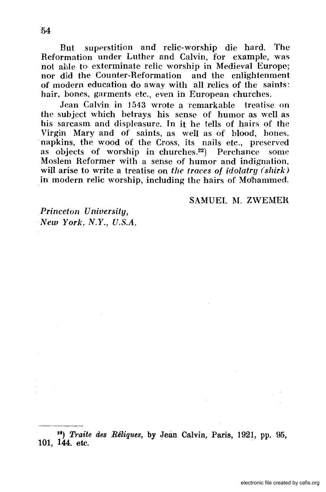But superstition and relic-worship die hard. The Reformation under Luther and Calvin, for example, was not able to exterminate relic worship in Medieval Europe; nor did the Counter-Reformation and the enlightenment of modern education do away with all relics of the saints: hair, bones, garments etc., even in European churches.

Jean Calvin in 1543 wrote a remarkable treatise on the subject which betrays his sense of humor as well as his sarcasm and displeasure. In it he tells of hairs of the Virgin Mary and of saints, as well as of blood, bones, napkins, the wood of the Cross, its nails etc., preserved as objects of worship in churches.<sup>22</sup>) Perchance some Moslem Reformer with a sense of humor and indignation, will arise to write a treatise on *the traces of idolatry (shirk)* in modern relic worship, including the hairs of Mohammed.

SAMUEL M. ZWEMER

*Princeton University, New York, N.Y., U.S.A.* 

U) *Traite des Reliques,* by Jean Calvin, Paris, 1921, pp. 95, 101, 144. etc.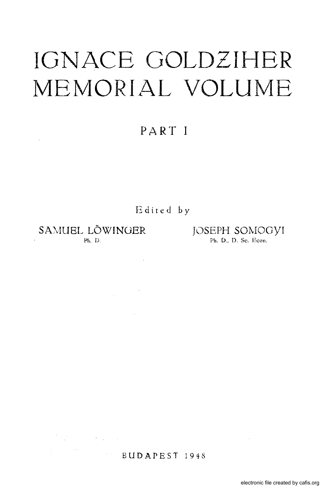# **IGNACE GOLDZIHBR**  MEMORIAL VOLUME

# **PART I**

Edited by

 $\sim$ 

 $\label{eq:2.1} \frac{1}{\sqrt{2}}\int_{\mathbb{R}^{3}}\frac{1}{\sqrt{2}}\left(\frac{1}{\sqrt{2}}\right)^{2}d\theta\,d\theta.$ 

SAMUEL LÖWINGER JOSEPH SOMOGYI<br>Ph. D. D. Se, Econ.

 $\label{eq:2.1} \frac{1}{\sqrt{2}}\sum_{i=1}^n\frac{1}{\sqrt{2}}\left(\frac{1}{\sqrt{2}}\right)^2\left(\frac{1}{\sqrt{2}}\right)^2\left(\frac{1}{\sqrt{2}}\right)^2\left(\frac{1}{\sqrt{2}}\right)^2\left(\frac{1}{\sqrt{2}}\right)^2.$ 

 $\frac{1}{2} \left( \frac{1}{2} \right) \left( \frac{1}{2} \right) \left( \frac{1}{2} \right) \left( \frac{1}{2} \right)$ 

Ph. D., D. Sc. Econ.

#### BUDAPEST 1948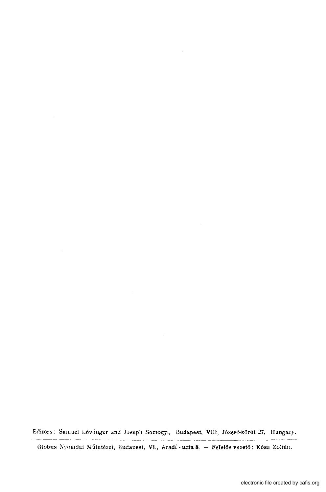Editors: Samuel Löwinger and Joseph Somogyi, Budapest, VIII, József-körút 27, Hungary. -~----------------- -----------------~-----------

Globus Nyomdai Műintézet, Eudapest, VI., Aradi - ucta 8. - FeIelős vezető: Kósa Zoltán.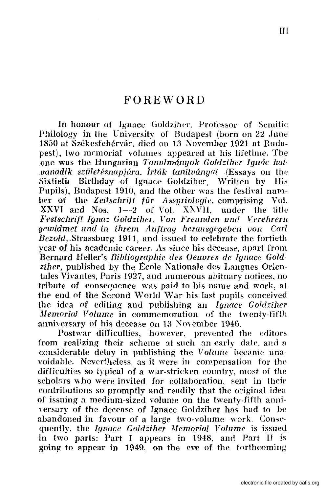### FOREWORD

In honour of Ignace Goldziher, Professor of Semitic Philology in the University of Budapest (born on 22 June 1850 at Székesfehérvár. died on 13 November 1921 at Budape&t), two memorial volumes appeared at his lifetime. The one was the Hungarian *Tanulmányok Goldziher Ignác hatvanadik születésnapjára. Írták tanítványai (Essays on the* Sixtieth Birthday of Ignace Goldziher, Written by His Pupils), Budapest 1910, and the other was the festival numher of the *Zeitschrift für Assyriologie,* comprising Vol.<br>XXVI and Nos. 1–2 of Vol. XXVII. under the title XXVI and Nos.  $1-2$  of Vol. XXVII, *Festschrift Ignaz Goldziher. Von Freunden und Verehrern gl>zvidmet lll1d ill iIlrem Auf trag herallsgegebcll VOIl Cari Bezold, Strassburg 1911, and issued to celebrate the fortieth* year of his academic career. As since his decease, apart from Bernard Heller's *Bibliographic des Oeuvres de Janace Gold ziher,* published by the Ecole Nationale des Langues Orientales Vivantes,Paris 1927, and numerous abituary notices, no tribute of consequence was paid to his name and work, at the end of the Second World War his last pupils conceived the idea of editing amI publishing an *Ignace Goldzihcr Memorial Volume* in commemoration of the twenty-fifth anniversary of his decease on 13 November 1946.

Postwar difficulties, however. prevented the editors from realizing their scheme at such an early date, and a considerable delay in publishing the *Volume* hecame unavoidahle. Nevertheless, as it were in compensation for the difficulties so typical of a war-stricken country, most of the scholars who were invited for collaboration, sent in their contributions so promptly and readily that the original idea of issuing a medium-sized volume on the twenty-fifth anni versary of the decease of Ignace Goldziher has had to be abandoned in favour of a large two-volume work. Consequently, the *Ignace Goldziher Memorial Volume* is issued in two parts: Part I appears in 1948. and Part II is going to appear in 1949. on the eve of the forthcoming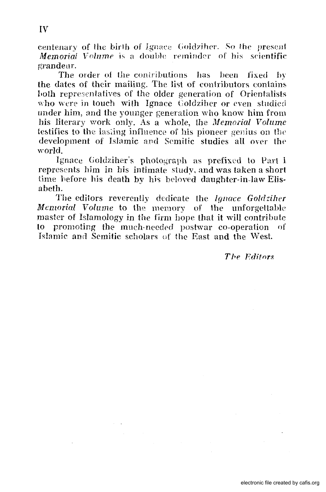eentenary of the birth of Ignace Goldziher. So the present Memorial Volume is a double reminder of his scientific grandeur.

The order of the contributions has been fixed by the dates of their mailing. The list of contributors contains both representatives of the older generation of Orientalists who were in touch with Ignace Goldziher or even studied under him, and the younger generation who know him from his literary work only. As a whole, the Memorial Volume testifies to the lasting influence of his pioneer genius on the development of Islamic and Semitic studies all over the world.

Ignace Goldziher's photograph as prefixed to Part I represents him in his intimate study, and was taken a short time before his death by his beloved daughter-in-law Elisabeth.

The editors reverently dedicate the Ignace Goldziher Memorial Volume to the memory of the unforgettable master of Islamology in the firm hope that it will contribute to promoting the much-needed postwar co-operation of Islamic and Semitic scholars of the East and the West.

The Editors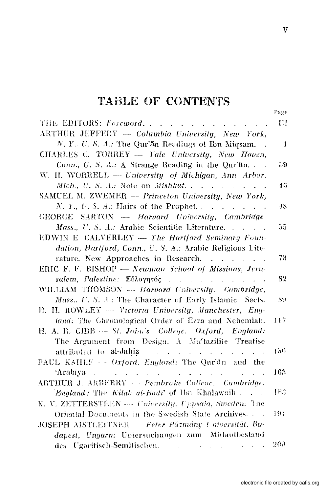## **TABLE OF CONTENTS**

| THE EDITORS: Foreword.                                                                                           | Ш            |
|------------------------------------------------------------------------------------------------------------------|--------------|
| ARTHUR JEFFERY - Columbia University, New York,                                                                  |              |
| N. Y., U. S. A.: The Qur'an Readings of Ibn Migsam. $\blacksquare$ .                                             | $\mathbf{1}$ |
| CHARLES C. TORREY - Yale University, New Haven,                                                                  |              |
| Conn., U. S. A.: A Strange Reading in the Qur'ān                                                                 | 39           |
| W. H. WORRELL - University of Michigan, Ann Arbor,                                                               |              |
| $Mich, U. S. A.: Note on Mishk\$ {at.}                                                                           | 46           |
| SAMUEL M. ZWEMER - Princeton University, New York,                                                               |              |
| N. Y., U.S. A.: Hairs of the Prophet. $\ldots$ $\ldots$ $\ldots$                                                 | 48           |
| GEORGE SARTON - Harvard University, Cambridge                                                                    |              |
| Mass., U. S. A.: Arabic Scientific Literature.                                                                   | 55.          |
| EDWIN E. CALVERLEY - The Hartford Seminary Foun-                                                                 |              |
| dation, Hartford, Conn., U. S. A.: Arabic Religious Lite-                                                        |              |
| rature. New Approaches in Research.                                                                              | 73.          |
| ERIC F. F. BISHOP - Newman School of Missions, Jeru-                                                             |              |
| salem, Palestine: Εύλογητός                                                                                      | 82           |
| WILLIAM THOMSON --- Harvard University. Cambridge,                                                               |              |
| Mass., U. S. A.: The Character of Early Islamic Sects.                                                           | 89.          |
| H. H. ROWLEY -- Victoria University, Manchester, Eng-                                                            |              |
| land: The Chronological Order of Ezra and Nehemiah.                                                              | 117          |
| H. A. R. CIBB -- St. John's College, Oxford, England:                                                            |              |
| The Argument from Design. A Mu'tazilite Treatise                                                                 |              |
| attributed to al-Jahiz and a series of the series of the series of the series of the series of the series of the | $150 -$      |
| PAUL KAHLE - - Oxford, England: The Qur'an and the                                                               |              |
| 'Arabīya                                                                                                         | 163          |
| ARTHUR J. ARBERRY - - Pembroke College, Cambridge,                                                               |              |
| <b>England:</b> The Kitäb al-Badī of Ibn Khālawaih $\ldots$                                                      | 183          |
| K. V. ZETTERSTEEN --- University, Uppsala, Sweden: The                                                           |              |
| Oriental Documents in the Swedish State Archives.                                                                | 191          |
| JOSEPH AISTLEITNER - Peter Pázmány Universität, Bu-                                                              |              |
| dapest, Ungarn: Untersuchungen zum Mitlautbestand                                                                |              |
| des Ugaritisch-Semitischen. Der an der anterentieren                                                             | 500          |

Page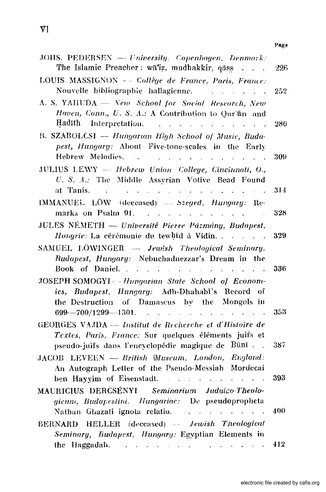| JOHS. PEDERSEN - University. Copenhagen, Denmark:<br>The Islamic Preacher: wā'iz, mudhakkir, qāss                                                                                                                                                                                    | 226  |
|--------------------------------------------------------------------------------------------------------------------------------------------------------------------------------------------------------------------------------------------------------------------------------------|------|
| LOUIS MASSIGNON - Collège de France, Paris, France:<br>Nouvelle bibliographie hallagienne.<br>and the contract of the contract of the                                                                                                                                                | 252  |
| A. S. YAHUDA - New School for Social Research, New<br>Haven, Conn., U. S. A.: A Contribution to Qur'an and<br>Hadīth<br>Interpretation.<br>$\mathbf{r}$<br>$\mathcal{L}^{\mathcal{L}}$ , $\mathcal{L}^{\mathcal{L}}$ , $\mathcal{L}^{\mathcal{L}}$<br>$\mathbf{r}$<br>$\overline{a}$ | 280  |
| B. SZABOLCSI - Hungarian High School of Music, Buda-<br>pest, Hungary: About Five-tone-scales in the Early<br>Hebrew Melodies.<br>$\sim$ $\sim$<br><b>Contract Contract Contract</b>                                                                                                 | 309  |
| JULIUS LEWY - Hebrew Union College, Cincinnati, O.,<br>U. S. A.: The Middle Assyrian Votive Bead Found<br>at Tanis.<br>$1 - 1 - 1 = 1$                                                                                                                                               | .314 |
| IMMANUEL LÖW (deceased) - Szeged, Hungary: Re-<br>marks on Psalm 91.                                                                                                                                                                                                                 | 328  |
| JULES NÉMETH — Université Pierre Pázmány, Budapest,<br>Hongrie: La cérémonie du tewbld à Vidin                                                                                                                                                                                       | 329  |
| SAMUEL LÖWINGER - Jewish Theological Seminary,<br>Budapest, Hungary: Nebuchadnezzar's Dream in the<br>Book of Daniel.<br>the control of the control of the con-                                                                                                                      | -336 |
| JOSEPH SOMOGYI -- Hungarian State School of Econom-<br>ies, Budapest, Hungary: Adh-Dhahabi's Record of<br>the Destruction of Damascus by the Mongols in                                                                                                                              |      |
| $699 - 700/1299 - 1301$ .<br>$\mathbb{R}^{\mathbb{Z}^2}$<br>GEORGES VAJDA - Institut de Recherche et d'Hisioire de<br>Textes, Paris, France: Sur quelques éléments juifs et                                                                                                          | 353  |
| pseudo-juifs dans l'encyclopédie magique de Būnī.<br>JACOB LEVEEN - British Museum, London, England:<br>An Autograph Letter of the Pseudo-Messiah Mordecai                                                                                                                           | 387  |
| ben Hayyim of Eisenstadt.<br>$\mathcal{L}^{\text{max}}$ and $\mathcal{L}^{\text{max}}$ and $\mathcal{L}^{\text{max}}$<br>MAURICIUS DERCSÉNYI Seminarium Judaico Theolo-                                                                                                              | 393  |
| gicum, Budapestini, Hungariae: De pseudopropheta<br>Nathan Ghazati ignota relatio.<br>فالمعامل والمتعارف والمحارب                                                                                                                                                                    | 400  |
| BERNARD HELLER (deceased) - Jewish Theological<br>Seminary, Budapest, Hungary: Egyptian Elements in<br>the Haggadah. The contract of the Haggadah.<br>and the contract of the con-                                                                                                   | 412  |